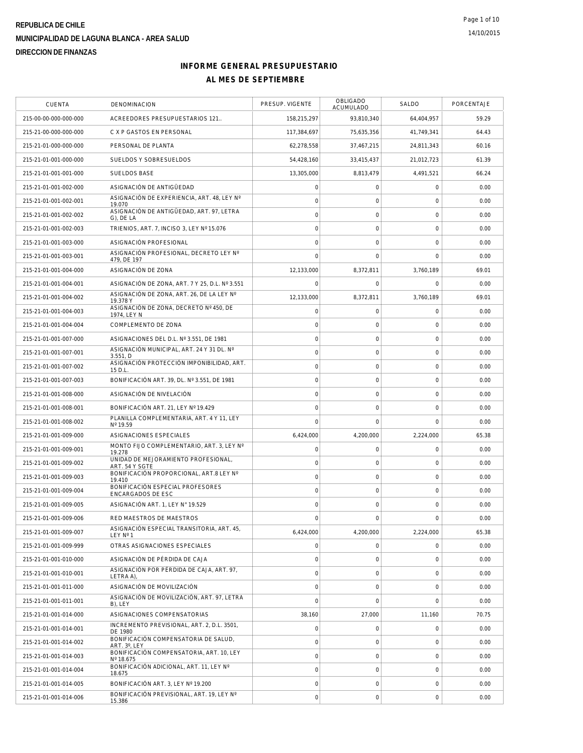| <b>CUENTA</b>         | DENOMINACION                                          | PRESUP. VIGENTE     | <b>OBLIGADO</b><br>ACUMULADO | SALDO          | PORCENTAJE |
|-----------------------|-------------------------------------------------------|---------------------|------------------------------|----------------|------------|
| 215-00-00-000-000-000 | ACREEDORES PRESUPUESTARIOS 121                        | 158,215,297         | 93,810,340                   | 64,404,957     | 59.29      |
| 215-21-00-000-000-000 | C X P GASTOS EN PERSONAL                              | 117,384,697         | 75,635,356                   | 41,749,341     | 64.43      |
| 215-21-01-000-000-000 | PERSONAL DE PLANTA                                    | 62,278,558          | 37,467,215                   | 24.811.343     | 60.16      |
| 215-21-01-001-000-000 | SUELDOS Y SOBRESUELDOS                                | 54,428,160          | 33,415,437                   | 21,012,723     | 61.39      |
| 215-21-01-001-001-000 | <b>SUELDOS BASE</b>                                   | 13,305,000          | 8,813,479                    | 4,491,521      | 66.24      |
| 215-21-01-001-002-000 | ASIGNACIÓN DE ANTIGÜEDAD                              | $\mathsf{O}\xspace$ | $\mathbf 0$                  | $\mathbf 0$    | 0.00       |
| 215-21-01-001-002-001 | ASIGNACIÓN DE EXPERIENCIA. ART. 48. LEY Nº<br>19.070  | $\circ$             | $\mathbf 0$                  | $\mathbf 0$    | 0.00       |
| 215-21-01-001-002-002 | ASIGNACIÓN DE ANTIGÜEDAD, ART. 97, LETRA<br>G), DE LA | $\mathsf{O}\xspace$ | $\mathsf{O}\xspace$          | $\mathbf 0$    | 0.00       |
| 215-21-01-001-002-003 | TRIENIOS, ART. 7, INCISO 3, LEY Nº 15.076             | $\mathbf 0$         | $\mathbf 0$                  | $\mathbf 0$    | 0.00       |
| 215-21-01-001-003-000 | ASIGNACIÓN PROFESIONAL                                | $\mathbf 0$         | $\mathbf 0$                  | 0              | 0.00       |
| 215-21-01-001-003-001 | ASIGNACIÓN PROFESIONAL, DECRETO LEY Nº<br>479, DE 197 | $\mathbf 0$         | $\mathbf 0$                  | $\mathbf 0$    | 0.00       |
| 215-21-01-001-004-000 | ASIGNACIÓN DE ZONA                                    | 12,133,000          | 8,372,811                    | 3,760,189      | 69.01      |
| 215-21-01-001-004-001 | ASIGNACIÓN DE ZONA, ART. 7 Y 25, D.L. Nº 3.551        | $\mathbf 0$         | $\mathbf 0$                  | $\mathbf 0$    | 0.00       |
| 215-21-01-001-004-002 | ASIGNACIÓN DE ZONA, ART. 26, DE LA LEY Nº<br>19.378 Y | 12,133,000          | 8,372,811                    | 3,760,189      | 69.01      |
| 215-21-01-001-004-003 | ASIGNACIÓN DE ZONA, DECRETO Nº 450, DE<br>1974, LEY N | $\mathsf{O}\xspace$ | $\mathbf 0$                  | 0              | 0.00       |
| 215-21-01-001-004-004 | COMPLEMENTO DE ZONA                                   | $\circ$             | $\mathsf{O}\xspace$          | $\mathbf 0$    | 0.00       |
| 215-21-01-001-007-000 | ASIGNACIONES DEL D.L. Nº 3.551. DE 1981               | $\mathsf{O}\xspace$ | $\mathsf O$                  | $\mathbf 0$    | 0.00       |
| 215-21-01-001-007-001 | ASIGNACIÓN MUNICIPAL, ART. 24 Y 31 DL. Nº<br>3.551, D | $\circ$             | $\mathbf 0$                  | $\mathbf 0$    | 0.00       |
| 215-21-01-001-007-002 | ASIGNACIÓN PROTECCIÓN IMPONIBILIDAD, ART.<br>15 D.L.  | $\circ$             | $\mathbf 0$                  | $\mathbf 0$    | 0.00       |
| 215-21-01-001-007-003 | BONIFICACIÓN ART. 39, DL. Nº 3.551, DE 1981           | $\mathsf{O}\xspace$ | $\mathsf{O}\xspace$          | $\mathbf 0$    | 0.00       |
| 215-21-01-001-008-000 | ASIGNACIÓN DE NIVELACIÓN                              | $\mathsf{O}\xspace$ | $\mathsf{O}\xspace$          | $\mathbf 0$    | 0.00       |
| 215-21-01-001-008-001 | BONIFICACIÓN ART. 21, LEY Nº 19.429                   | $\mathbf 0$         | $\mathsf{O}\xspace$          | $\mathbf 0$    | 0.00       |
| 215-21-01-001-008-002 | PLANILLA COMPLEMENTARIA, ART. 4 Y 11, LEY<br>Nº 19.59 | $\mathbf 0$         | $\mathbf 0$                  | $\overline{0}$ | 0.00       |
| 215-21-01-001-009-000 | ASIGNACIONES ESPECIALES                               | 6,424,000           | 4,200,000                    | 2,224,000      | 65.38      |
| 215-21-01-001-009-001 | MONTO FIJO COMPLEMENTARIO, ART. 3, LEY Nº<br>19.278   | $\mathsf{O}\xspace$ | $\mathsf O$                  | $\mathbf 0$    | 0.00       |
| 215-21-01-001-009-002 | UNIDAD DE MEJORAMIENTO PROFESIONAL,<br>ART. 54 Y SGTE | $\circ$             | $\mathsf{O}\xspace$          | $\mathbf 0$    | 0.00       |
| 215-21-01-001-009-003 | BONIFICACIÓN PROPORCIONAL, ART.8 LEY Nº<br>19.410     | $\mathsf{O}\xspace$ | $\mathbf 0$                  | $\mathbf 0$    | 0.00       |
| 215-21-01-001-009-004 | BONIFICACIÓN ESPECIAL PROFESORES<br>ENCARGADOS DE ESC | $\circ$             | $\mathsf{O}\xspace$          | $\mathbf 0$    | 0.00       |
| 215-21-01-001-009-005 | ASIGNACIÓN ART. 1. LEY N° 19.529                      | $\mathbf 0$         | $\mathbf 0$                  | $\mathbf 0$    | 0.00       |
| 215-21-01-001-009-006 | RED MAESTROS DE MAESTROS                              | $\mathbf 0$         | $\mathbf 0$                  | $\mathbf 0$    | 0.00       |
| 215-21-01-001-009-007 | ASIGNACIÓN ESPECIAL TRANSITORIA, ART. 45,<br>LEY Nº 1 | 6,424,000           | 4,200,000                    | 2,224,000      | 65.38      |
| 215-21-01-001-009-999 | OTRAS ASIGNACIONES ESPECIALES                         | 0                   | $\mathbf 0$                  | $\mathbf 0$    | 0.00       |
| 215-21-01-001-010-000 | ASIGNACIÓN DE PÉRDIDA DE CAJA                         | $\mathsf{O}\xspace$ | $\mathbf 0$                  | $\mathbf 0$    | 0.00       |
| 215-21-01-001-010-001 | ASIGNACIÓN POR PÉRDIDA DE CAJA, ART. 97,<br>LETRA A). | $\circ$             | $\mathsf{O}\xspace$          | $\mathbf 0$    | 0.00       |
| 215-21-01-001-011-000 | ASIGNACIÓN DE MOVILIZACIÓN                            | $\mathsf{O}\xspace$ | $\mathsf{O}\xspace$          | $\mathbf 0$    | 0.00       |
| 215-21-01-001-011-001 | ASIGNACIÓN DE MOVILIZACIÓN, ART. 97, LETRA<br>B), LEY | $\mathbf 0$         | $\mathbf 0$                  | $\mathbf 0$    | 0.00       |
| 215-21-01-001-014-000 | ASIGNACIONES COMPENSATORIAS                           | 38,160              | 27,000                       | 11,160         | 70.75      |
| 215-21-01-001-014-001 | INCREMENTO PREVISIONAL, ART. 2, D.L. 3501,<br>DF 1980 | $\mathsf{O}\xspace$ | $\mathsf O$                  | $\mathbf 0$    | 0.00       |
| 215-21-01-001-014-002 | BONIFICACIÓN COMPENSATORIA DE SALUD.<br>ART. 3°, LEY  | $\mathsf{O}\xspace$ | $\mathbf 0$                  | $\mathbf 0$    | 0.00       |
| 215-21-01-001-014-003 | BONIFICACIÓN COMPENSATORIA, ART. 10, LEY<br>Nº 18.675 | $\circ$             | $\mathsf O$                  | $\mathbf 0$    | 0.00       |
| 215-21-01-001-014-004 | BONIFICACIÓN ADICIONAL, ART. 11, LEY Nº<br>18.675     | $\mathbf 0$         | 0                            | $\mathbf 0$    | 0.00       |
| 215-21-01-001-014-005 | BONIFICACIÓN ART. 3, LEY Nº 19.200                    | $\mathsf{O}\xspace$ | $\mathbf 0$                  | $\mathbf 0$    | 0.00       |
| 215-21-01-001-014-006 | BONIFICACIÓN PREVISIONAL, ART. 19, LEY Nº<br>15.386   | $\circ$             | $\mathsf{O}\xspace$          | $\mathbf 0$    | 0.00       |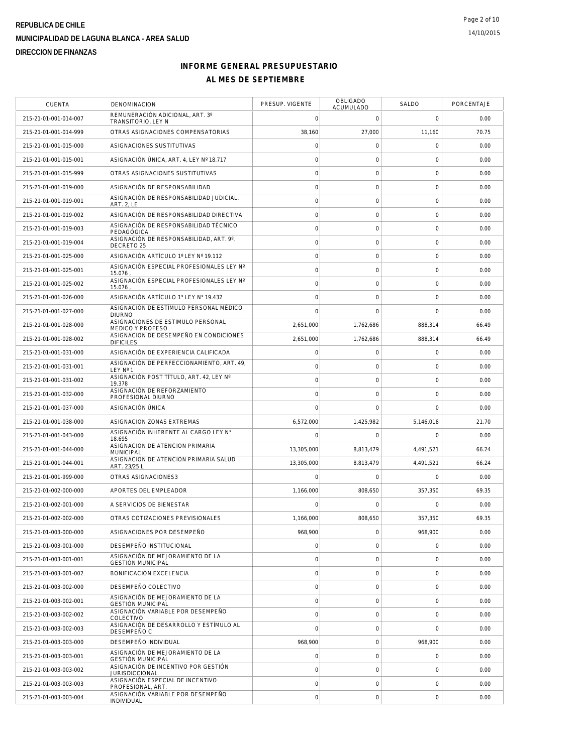| <b>CUENTA</b>         | <b>DENOMINACION</b>                                          | PRESUP. VIGENTE | OBLIGADO<br>ACUMULADO | SALDO       | PORCENTAJE |
|-----------------------|--------------------------------------------------------------|-----------------|-----------------------|-------------|------------|
| 215-21-01-001-014-007 | REMUNERACIÓN ADICIONAL, ART. 3°<br>TRANSITORIO, LEY N        | $\mathbf 0$     | $\mathbf 0$           | $\mathbf 0$ | 0.00       |
| 215-21-01-001-014-999 | OTRAS ASIGNACIONES COMPENSATORIAS                            | 38,160          | 27,000                | 11,160      | 70.75      |
| 215-21-01-001-015-000 | ASIGNACIONES SUSTITUTIVAS                                    | $\mathbf 0$     | $\mathsf O$           | $\mathbf 0$ | 0.00       |
| 215-21-01-001-015-001 | ASIGNACIÓN ÚNICA, ART. 4, LEY Nº 18.717                      | $\mathbf 0$     | $\mathbf 0$           | $\mathbf 0$ | 0.00       |
| 215-21-01-001-015-999 | OTRAS ASIGNACIONES SUSTITUTIVAS                              | $\mathbf 0$     | $\mathbf 0$           | $\mathbf 0$ | 0.00       |
| 215-21-01-001-019-000 | ASIGNACIÓN DE RESPONSABILIDAD                                | $\mathbf 0$     | $\mathsf{O}\xspace$   | $\mathbf 0$ | 0.00       |
| 215-21-01-001-019-001 | ASIGNACIÓN DE RESPONSABILIDAD JUDICIAL,<br><b>ART. 2, LE</b> | $\circ$         | $\mathsf{O}\xspace$   | $\mathbf 0$ | 0.00       |
| 215-21-01-001-019-002 | ASIGNACIÓN DE RESPONSABILIDAD DIRECTIVA                      | $\mathbf 0$     | $\mathsf O$           | 0           | 0.00       |
| 215-21-01-001-019-003 | ASIGNACIÓN DE RESPONSABILIDAD TÉCNICO<br>PEDAGÓGICA          | $\mathbf 0$     | $\mathbf 0$           | $\mathbf 0$ | 0.00       |
| 215-21-01-001-019-004 | ASIGNACIÓN DE RESPONSABILIDAD, ART. 9°,<br>DECRETO 25        | $\mathbf 0$     | $\mathsf{O}\xspace$   | $\mathbf 0$ | 0.00       |
| 215-21-01-001-025-000 | ASIGNACIÓN ARTÍCULO 1º LEY Nº 19.112                         | $\mathbf 0$     | $\mathbf 0$           | $\mathbf 0$ | 0.00       |
| 215-21-01-001-025-001 | ASIGNACIÓN ESPECIAL PROFESIONALES LEY Nº<br>15.076           | $\circ$         | $\mathsf{O}\xspace$   | $\mathbf 0$ | 0.00       |
| 215-21-01-001-025-002 | ASIGNACIÓN ESPECIAL PROFESIONALES LEY Nº<br>15.076           | $\mathbf 0$     | $\mathbf 0$           | $\mathbf 0$ | 0.00       |
| 215-21-01-001-026-000 | ASIGNACIÓN ARTÍCULO 1° LEY N° 19.432                         | $\circ$         | $\mathbf 0$           | $\mathbf 0$ | 0.00       |
| 215-21-01-001-027-000 | ASIGNACIÓN DE ESTÍMULO PERSONAL MÉDICO<br><b>DIURNO</b>      | $\mathbf 0$     | $\mathbf 0$           | $\mathbf 0$ | 0.00       |
| 215-21-01-001-028-000 | ASIGNACIONES DE ESTIMULO PERSONAL<br><b>MEDICO Y PROFESO</b> | 2,651,000       | 1,762,686             | 888,314     | 66.49      |
| 215-21-01-001-028-002 | ASIGNACION DE DESEMPEÑO EN CONDICIONES<br><b>DIFICILES</b>   | 2,651,000       | 1,762,686             | 888,314     | 66.49      |
| 215-21-01-001-031-000 | ASIGNACIÓN DE EXPERIENCIA CALIFICADA                         | $\mathbf 0$     | $\mathsf O$           | $\mathbf 0$ | 0.00       |
| 215-21-01-001-031-001 | ASIGNACIÓN DE PERFECCIONAMIENTO, ART. 49,<br>LEY Nº 1        | $\circ$         | $\mathsf{O}\xspace$   | $\mathbf 0$ | 0.00       |
| 215-21-01-001-031-002 | ASIGNACIÓN POST TÍTULO, ART. 42, LEY Nº<br>19.378            | $\mathbf 0$     | $\mathbf 0$           | 0           | 0.00       |
| 215-21-01-001-032-000 | ASIGNACIÓN DE REFORZAMIENTO<br>PROFESIONAL DIURNO            | $\circ$         | $\mathsf{O}\xspace$   | $\mathbf 0$ | 0.00       |
| 215-21-01-001-037-000 | ASIGNACIÓN ÚNICA                                             | $\mathbf 0$     | $\mathbf 0$           | $\mathbf 0$ | 0.00       |
| 215-21-01-001-038-000 | ASIGNACION ZONAS EXTREMAS                                    | 6,572,000       | 1,425,982             | 5,146,018   | 21.70      |
| 215-21-01-001-043-000 | ASIGNACIÓN INHERENTE AL CARGO LEY N°<br>18.695               | $\mathbf 0$     | $\mathbf 0$           | $\Omega$    | 0.00       |
| 215-21-01-001-044-000 | ASIGNACION DE ATENCION PRIMARIA<br><b>MUNICIPAL</b>          | 13,305,000      | 8,813,479             | 4,491,521   | 66.24      |
| 215-21-01-001-044-001 | ASIGNACION DE ATENCION PRIMARIA SALUD<br>ART. 23/25 L        | 13,305,000      | 8,813,479             | 4,491,521   | 66.24      |
| 215-21-01-001-999-000 | OTRAS ASIGNACIONES3                                          | $\mathbf 0$     | $\mathbf 0$           | $\mathbf 0$ | 0.00       |
| 215-21-01-002-000-000 | APORTES DEL EMPLEADOR                                        | 1,166,000       | 808,650               | 357,350     | 69.35      |
| 215-21-01-002-001-000 | A SERVICIOS DE BIENESTAR                                     | $\cap$          | $\Omega$              | $\Omega$    | 0.00       |
| 215-21-01-002-002-000 | OTRAS COTIZACIONES PREVISIONALES                             | 1.166.000       | 808,650               | 357,350     | 69.35      |
| 215-21-01-003-000-000 | ASIGNACIONES POR DESEMPEÑO                                   | 968,900         | $\mathsf O$           | 968,900     | 0.00       |
| 215-21-01-003-001-000 | DESEMPEÑO INSTITUCIONAL                                      | $\mathbf 0$     | $\mathbf 0$           | 0           | 0.00       |
| 215-21-01-003-001-001 | ASIGNACIÓN DE MEJORAMIENTO DE LA<br><b>GESTIÓN MUNICIPAL</b> | $\mathbf 0$     | $\mathsf{O}\xspace$   | $\mathbf 0$ | 0.00       |
| 215-21-01-003-001-002 | BONIFICACIÓN EXCELENCIA                                      | $\circ$         | $\mathsf O$           | $\mathbf 0$ | 0.00       |
| 215-21-01-003-002-000 | DESEMPEÑO COLECTIVO                                          | $\mathbf 0$     | $\mathbf 0$           | $\mathbf 0$ | 0.00       |
| 215-21-01-003-002-001 | ASIGNACIÓN DE MEJORAMIENTO DE LA<br><b>GESTIÓN MUNICIPAL</b> | $\circ$         | $\mathsf{O}\xspace$   | $\mathbf 0$ | 0.00       |
| 215-21-01-003-002-002 | ASIGNACIÓN VARIABLE POR DESEMPEÑO<br>COLECTIVO               | $\circ$         | $\mathsf O$           | 0           | 0.00       |
| 215-21-01-003-002-003 | ASIGNACIÓN DE DESARROLLO Y ESTÍMULO AL<br>DESEMPEÑO C        | $\overline{0}$  | $\mathsf{O}\xspace$   | $\mathbf 0$ | 0.00       |
| 215-21-01-003-003-000 | DESEMPEÑO INDIVIDUAL                                         | 968,900         | $\mathsf O$           | 968,900     | 0.00       |
| 215-21-01-003-003-001 | ASIGNACIÓN DE MEJORAMIENTO DE LA<br><b>GESTIÓN MUNICIPAL</b> | $\mathbf 0$     | $\mathbf 0$           | $\mathbf 0$ | 0.00       |
| 215-21-01-003-003-002 | ASIGNACIÓN DE INCENTIVO POR GESTIÓN<br><b>JURISDICCIONAL</b> | $\mathbf 0$     | $\mathbf 0$           | 0           | 0.00       |
| 215-21-01-003-003-003 | ASIGNACIÓN ESPECIAL DE INCENTIVO<br>PROFESIONAL, ART.        | $\mathbf 0$     | $\mathsf O$           | $\mathbf 0$ | 0.00       |
| 215-21-01-003-003-004 | ASIGNACIÓN VARIABLE POR DESEMPEÑO<br>INDIVIDUAL              | $\circ$         | $\mathsf{O}\xspace$   | $\mathbf 0$ | 0.00       |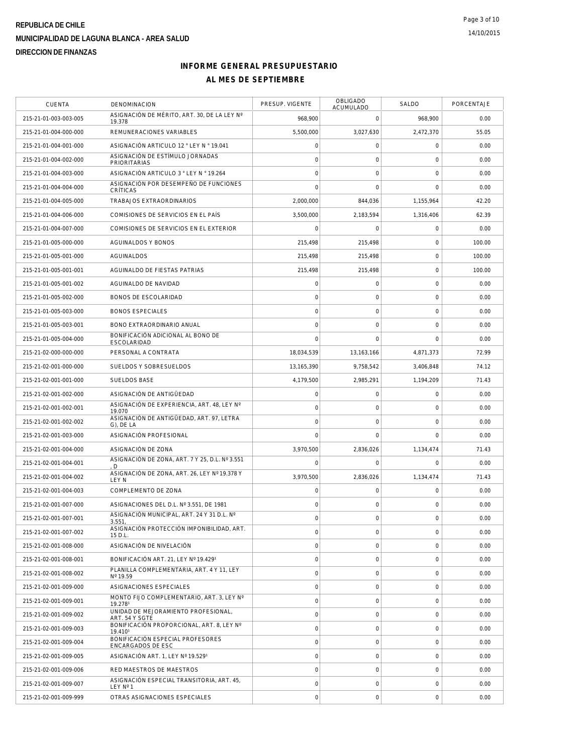| <b>CUENTA</b>         | DENOMINACION                                           | PRESUP. VIGENTE | OBLIGADO<br>ACUMULADO | SALDO          | PORCENTAJE |
|-----------------------|--------------------------------------------------------|-----------------|-----------------------|----------------|------------|
| 215-21-01-003-003-005 | ASIGNACIÓN DE MÉRITO, ART. 30, DE LA LEY Nº<br>19.378  | 968,900         | $\mathbf 0$           | 968,900        | 0.00       |
| 215-21-01-004-000-000 | REMUNERACIONES VARIABLES                               | 5,500,000       | 3,027,630             | 2,472,370      | 55.05      |
| 215-21-01-004-001-000 | ASIGNACIÓN ARTICULO 12 ° LEY N ° 19.041                | $\mathbf 0$     | $\mathsf O$           | $\mathbf 0$    | 0.00       |
| 215-21-01-004-002-000 | ASIGNACIÓN DE ESTÍMULO JORNADAS<br><b>PRIORITARIAS</b> | $\mathbf 0$     | $\mathbf 0$           | $\mathbf 0$    | 0.00       |
| 215-21-01-004-003-000 | ASIGNACIÓN ARTICULO 3 ° LEY N ° 19.264                 | $\mathbf 0$     | $\mathbf 0$           | $\mathbf 0$    | 0.00       |
| 215-21-01-004-004-000 | ASIGNACIÓN POR DESEMPEÑO DE FUNCIONES<br>CRÍTICAS      | $\mathbf 0$     | $\mathbf 0$           | $\overline{0}$ | 0.00       |
| 215-21-01-004-005-000 | TRABAJOS EXTRAORDINARIOS                               | 2.000.000       | 844,036               | 1,155,964      | 42.20      |
| 215-21-01-004-006-000 | COMISIONES DE SERVICIOS EN EL PAÍS                     | 3.500.000       | 2,183,594             | 1.316.406      | 62.39      |
| 215-21-01-004-007-000 | COMISIONES DE SERVICIOS EN EL EXTERIOR                 | $\Omega$        | $\Omega$              | $\mathbf 0$    | 0.00       |
| 215-21-01-005-000-000 | AGUINALDOS Y BONOS                                     | 215,498         | 215,498               | $\mathbf 0$    | 100.00     |
| 215-21-01-005-001-000 | AGUINALDOS                                             | 215,498         | 215,498               | $\mathbf 0$    | 100.00     |
| 215-21-01-005-001-001 | AGUINALDO DE FIESTAS PATRIAS                           | 215,498         | 215,498               | $\mathbf 0$    | 100.00     |
| 215-21-01-005-001-002 | AGUINALDO DE NAVIDAD                                   | $\mathbf 0$     | $\mathbf 0$           | $\mathbf 0$    | 0.00       |
| 215-21-01-005-002-000 | <b>BONOS DE ESCOLARIDAD</b>                            | $\circ$         | $\mathbf 0$           | $\mathbf 0$    | 0.00       |
| 215-21-01-005-003-000 | <b>BONOS ESPECIALES</b>                                | $\mathbf 0$     | $\mathsf O$           | $\mathbf 0$    | 0.00       |
| 215-21-01-005-003-001 | BONO EXTRAORDINARIO ANUAL                              | $\mathbf 0$     | $\mathbf 0$           | $\mathbf 0$    | 0.00       |
| 215-21-01-005-004-000 | BONIFICACIÓN ADICIONAL AL BONO DE<br>ESCOLARIDAD       | $\mathbf 0$     | $\Omega$              | $\mathbf 0$    | 0.00       |
| 215-21-02-000-000-000 | PERSONAL A CONTRATA                                    | 18,034,539      | 13, 163, 166          | 4.871.373      | 72.99      |
| 215-21-02-001-000-000 | SUELDOS Y SOBRESUELDOS                                 | 13.165.390      | 9,758,542             | 3,406,848      | 74.12      |
| 215-21-02-001-001-000 | <b>SUELDOS BASE</b>                                    | 4,179,500       | 2,985,291             | 1,194,209      | 71.43      |
| 215-21-02-001-002-000 | ASIGNACIÓN DE ANTIGÜEDAD                               | $\mathbf 0$     | $\mathsf O$           | $\mathbf 0$    | 0.00       |
| 215-21-02-001-002-001 | ASIGNACIÓN DE EXPERIENCIA, ART. 48, LEY Nº<br>19.070   | $\circ$         | $\mathbf 0$           | $\mathbf 0$    | 0.00       |
| 215-21-02-001-002-002 | ASIGNACIÓN DE ANTIGÜEDAD, ART. 97, LETRA<br>G), DE LA  | $\mathbf 0$     | $\mathbf 0$           | $\mathbf 0$    | 0.00       |
| 215-21-02-001-003-000 | ASIGNACIÓN PROFESIONAL                                 | $\Omega$        | $\mathbf 0$           | $\mathbf 0$    | 0.00       |
| 215-21-02-001-004-000 | ASIGNACIÓN DE ZONA                                     | 3,970,500       | 2,836,026             | 1,134,474      | 71.43      |
| 215-21-02-001-004-001 | ASIGNACIÓN DE ZONA, ART. 7 Y 25, D.L. Nº 3.551<br>D    | $\mathbf 0$     | $\mathbf 0$           | 0              | 0.00       |
| 215-21-02-001-004-002 | ASIGNACIÓN DE ZONA, ART. 26, LEY Nº 19.378 Y<br>LEY N  | 3,970,500       | 2,836,026             | 1,134,474      | 71.43      |
| 215-21-02-001-004-003 | COMPLEMENTO DE ZONA                                    | $\mathbf 0$     | $\mathbf 0$           | $\mathbf 0$    | 0.00       |
| 215-21-02-001-007-000 | ASIGNACIONES DEL D.L. Nº 3.551, DE 1981                | $\mathbf 0$     | $\mathbf 0$           | $\mathbf 0$    | 0.00       |
| 215-21-02-001-007-001 | ASIGNACIÓN MUNICIPAL, ART. 24 Y 31 D.L. Nº<br>3.551,   | $\mathbf 0$     | $\mathsf O$           | $\overline{0}$ | 0.00       |
| 215-21-02-001-007-002 | ASIGNACIÓN PROTECCIÓN IMPONIBILIDAD, ART.<br>15 D.L.   | $\circ$         | $\boldsymbol{0}$      | 0              | 0.00       |
| 215-21-02-001-008-000 | ASIGNACIÓN DE NIVELACIÓN                               | $\mathbf 0$     | $\mathbf 0$           | 0              | 0.00       |
| 215-21-02-001-008-001 | BONIFICACIÓN ART. 21. LEY Nº 19.4291                   | $\mathbf 0$     | $\mathsf{O}\xspace$   | $\mathbf 0$    | 0.00       |
| 215-21-02-001-008-002 | PLANILLA COMPLEMENTARIA, ART. 4 Y 11, LEY<br>Nº 19.59  | $\circ$         | $\mathsf O$           | $\mathbf 0$    | 0.00       |
| 215-21-02-001-009-000 | ASIGNACIONES ESPECIALES                                | $\mathbf 0$     | $\mathbf 0$           | $\mathbf 0$    | 0.00       |
| 215-21-02-001-009-001 | MONTO FIJO COMPLEMENTARIO, ART. 3. LEY Nº<br>19.2781   | $\circ$         | $\mathsf{O}\xspace$   | $\mathbf 0$    | 0.00       |
| 215-21-02-001-009-002 | UNIDAD DE MEJORAMIENTO PROFESIONAL,<br>ART. 54 Y SGTE  | $\mathbf 0$     | $\mathsf O$           | 0              | 0.00       |
| 215-21-02-001-009-003 | BONIFICACIÓN PROPORCIONAL, ART. 8. LEY Nº<br>19.4101   | $\mathbf 0$     | $\mathsf O$           | $\mathbf 0$    | 0.00       |
| 215-21-02-001-009-004 | BONIFICACIÓN ESPECIAL PROFESORES<br>ENCARGADOS DE ESC  | $\circ$         | $\mathsf O$           | $\mathbf 0$    | 0.00       |
| 215-21-02-001-009-005 | ASIGNACIÓN ART. 1, LEY Nº 19.5291                      | $\circ$         | $\mathbf 0$           | $\mathbf 0$    | 0.00       |
| 215-21-02-001-009-006 | RED MAESTROS DE MAESTROS                               | $\mathbf 0$     | $\mathbf 0$           | 0              | 0.00       |
| 215-21-02-001-009-007 | ASIGNACIÓN ESPECIAL TRANSITORIA, ART. 45,<br>LEY Nº 1  | $\mathbf 0$     | $\mathsf O$           | $\overline{0}$ | 0.00       |
| 215-21-02-001-009-999 | OTRAS ASIGNACIONES ESPECIALES                          | $\mathbf 0$     | $\mathsf{O}\xspace$   | $\mathbf 0$    | 0.00       |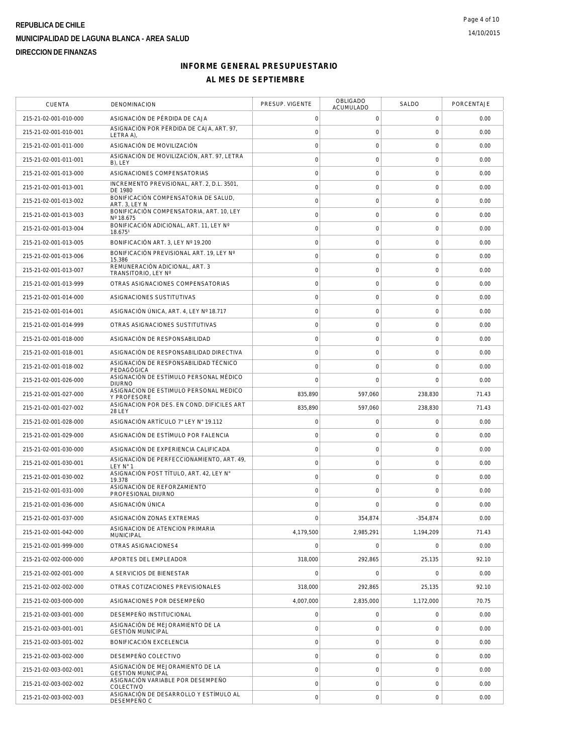| <b>CUENTA</b>         | DENOMINACION                                                 | PRESUP. VIGENTE     | <b>OBLIGADO</b><br>ACUMULADO | SALDO               | PORCENTAJE |
|-----------------------|--------------------------------------------------------------|---------------------|------------------------------|---------------------|------------|
| 215-21-02-001-010-000 | ASIGNACIÓN DE PÉRDIDA DE CAJA                                | $\mathbf 0$         | $\mathbf 0$                  | 0                   | 0.00       |
| 215-21-02-001-010-001 | ASIGNACIÓN POR PÉRDIDA DE CAJA, ART. 97,<br>LETRA A)         | $\circ$             | $\mathbf 0$                  | $\mathbf 0$         | 0.00       |
| 215-21-02-001-011-000 | ASIGNACIÓN DE MOVILIZACIÓN                                   | $\mathbf 0$         | $\mathbf 0$                  | $\mathbf 0$         | 0.00       |
| 215-21-02-001-011-001 | ASIGNACIÓN DE MOVILIZACIÓN, ART. 97, LETRA<br>B), LEY        | $\circ$             | $\mathbf 0$                  | $\mathbf 0$         | 0.00       |
| 215-21-02-001-013-000 | ASIGNACIONES COMPENSATORIAS                                  | $\circ$             | $\mathsf{O}\xspace$          | $\mathbf 0$         | 0.00       |
| 215-21-02-001-013-001 | INCREMENTO PREVISIONAL, ART. 2, D.L. 3501,<br>DE 1980        | $\mathbf 0$         | $\mathbf 0$                  | $\mathbf 0$         | 0.00       |
| 215-21-02-001-013-002 | BONIFICACIÓN COMPENSATORIA DE SALUD.<br>ART. 3. LEY N        | $\mathbf 0$         | $\mathsf{O}\xspace$          | $\mathsf{O}\xspace$ | 0.00       |
| 215-21-02-001-013-003 | BONIFICACIÓN COMPENSATORIA, ART. 10, LEY<br>Nº 18.675        | $\circ$             | $\mathsf{O}\xspace$          | $\mathbf 0$         | 0.00       |
| 215-21-02-001-013-004 | BONIFICACIÓN ADICIONAL, ART. 11, LEY Nº<br>18.6751           | $\mathbf 0$         | $\mathbf 0$                  | $\mathbf 0$         | 0.00       |
| 215-21-02-001-013-005 | BONIFICACIÓN ART. 3, LEY Nº 19.200                           | $\circ$             | $\mathbf 0$                  | $\mathbf 0$         | 0.00       |
| 215-21-02-001-013-006 | BONIFICACIÓN PREVISIONAL ART. 19, LEY Nº<br>15.386           | $\mathsf{O}\xspace$ | $\mathsf{O}\xspace$          | $\mathbf 0$         | 0.00       |
| 215-21-02-001-013-007 | REMUNERACIÓN ADICIONAL, ART. 3<br>TRANSITORIO, LEY Nº        | $\mathbf 0$         | $\mathsf{O}\xspace$          | $\mathsf{O}\xspace$ | 0.00       |
| 215-21-02-001-013-999 | OTRAS ASIGNACIONES COMPENSATORIAS                            | $\mathbf 0$         | 0                            | 0                   | 0.00       |
| 215-21-02-001-014-000 | ASIGNACIONES SUSTITUTIVAS                                    | $\circ$             | $\mathsf{O}\xspace$          | $\mathbf 0$         | 0.00       |
| 215-21-02-001-014-001 | ASIGNACIÓN ÚNICA, ART. 4, LEY Nº 18.717                      | $\mathbf 0$         | $\mathbf 0$                  | $\mathbf 0$         | 0.00       |
| 215-21-02-001-014-999 | OTRAS ASIGNACIONES SUSTITUTIVAS                              | $\circ$             | $\mathbf 0$                  | $\mathbf 0$         | 0.00       |
| 215-21-02-001-018-000 | ASIGNACIÓN DE RESPONSABILIDAD                                | $\circ$             | $\mathsf{O}\xspace$          | $\mathbf 0$         | 0.00       |
| 215-21-02-001-018-001 | ASIGNACIÓN DE RESPONSABILIDAD DIRECTIVA                      | $\mathbf 0$         | $\mathbf 0$                  | $\mathbf 0$         | 0.00       |
| 215-21-02-001-018-002 | ASIGNACIÓN DE RESPONSABILIDAD TÉCNICO<br>PEDAGÓGICA          | $\mathbf 0$         | $\mathbf 0$                  | $\mathbf 0$         | 0.00       |
| 215-21-02-001-026-000 | ASIGNACIÓN DE ESTÍMULO PERSONAL MÉDICO<br><b>DIURNO</b>      | $\bigcap$           | $\mathbf 0$                  | $\mathbf 0$         | 0.00       |
| 215-21-02-001-027-000 | ASIGNACION DE ESTIMULO PERSONAL MEDICO<br><b>Y PROFESORE</b> | 835,890             | 597,060                      | 238,830             | 71.43      |
| 215-21-02-001-027-002 | ASIGNACION POR DES. EN COND. DIFICILES ART<br><b>28 LEY</b>  | 835,890             | 597,060                      | 238,830             | 71.43      |
| 215-21-02-001-028-000 | ASIGNACIÓN ARTÍCULO 7° LEY N° 19.112                         | $\mathsf{O}\xspace$ | 0                            | $\mathbf 0$         | 0.00       |
| 215-21-02-001-029-000 | ASIGNACIÓN DE ESTÍMULO POR FALENCIA                          | $\mathbf 0$         | $\mathbf 0$                  | $\mathbf 0$         | 0.00       |
| 215-21-02-001-030-000 | ASIGNACIÓN DE EXPERIENCIA CALIFICADA                         | $\mathbf 0$         | 0                            | 0                   | 0.00       |
| 215-21-02-001-030-001 | ASIGNACIÓN DE PERFECCIONAMIENTO, ART. 49,<br>LEY N° 1        | $\mathsf{O}\xspace$ | $\mathsf{O}\xspace$          | $\mathbf 0$         | 0.00       |
| 215-21-02-001-030-002 | ASIGNACIÓN POST TÍTULO, ART. 42, LEY N°<br>19.378            | $\mathbf 0$         | $\mathbf 0$                  | $\mathbf 0$         | 0.00       |
| 215-21-02-001-031-000 | ASIGNACIÓN DE REFORZAMIENTO<br>PROFESIONAL DIURNO            | $\circ$             | $\mathbf 0$                  | $\mathbf 0$         | 0.00       |
| 215-21-02-001-036-000 | ASIGNACIÓN ÚNICA                                             | $\circ$             | $\Omega$                     | $\Omega$            | 0.00       |
| 215-21-02-001-037-000 | ASIGNACIÓN ZONAS EXTREMAS                                    | $\mathbf 0$         | 354,874                      | $-354,874$          | 0.00       |
| 215-21-02-001-042-000 | ASIGNACION DE ATENCION PRIMARIA<br><b>MUNICIPAL</b>          | 4,179,500           | 2,985,291                    | 1,194,209           | 71.43      |
| 215-21-02-001-999-000 | OTRAS ASIGNACIONES4                                          | $\Omega$            | $\mathbf 0$                  | $\mathbf 0$         | 0.00       |
| 215-21-02-002-000-000 | APORTES DEL EMPLEADOR                                        | 318,000             | 292,865                      | 25,135              | 92.10      |
| 215-21-02-002-001-000 | A SERVICIOS DE BIENESTAR                                     | $\overline{0}$      | $\mathbf 0$                  | $\Omega$            | 0.00       |
| 215-21-02-002-002-000 | OTRAS COTIZACIONES PREVISIONALES                             | 318,000             | 292,865                      | 25,135              | 92.10      |
| 215-21-02-003-000-000 | ASIGNACIONES POR DESEMPEÑO                                   | 4,007,000           | 2,835,000                    | 1,172,000           | 70.75      |
| 215-21-02-003-001-000 | DESEMPENO INSTITUCIONAL                                      | $\mathbf 0$         | $\mathbf 0$                  | 0                   | 0.00       |
| 215-21-02-003-001-001 | ASIGNACIÓN DE MEJORAMIENTO DE LA<br><b>GESTIÓN MUNICIPAL</b> | $\mathsf{O}\xspace$ | $\mathsf{O}\xspace$          | $\mathbf 0$         | 0.00       |
| 215-21-02-003-001-002 | BONIFICACIÓN EXCELENCIA                                      | $\mathbf 0$         | $\mathbf 0$                  | $\mathbf 0$         | 0.00       |
| 215-21-02-003-002-000 | DESEMPEÑO COLECTIVO                                          | $\circ$             | $\mathbf 0$                  | $\mathbf 0$         | 0.00       |
| 215-21-02-003-002-001 | ASIGNACIÓN DE MEJORAMIENTO DE LA<br><b>GESTIÓN MUNICIPAL</b> | $\circ$             | $\mathsf{O}\xspace$          | $\mathbf 0$         | 0.00       |
| 215-21-02-003-002-002 | ASIGNACIÓN VARIABLE POR DESEMPEÑO<br>COLECTIVO               | $\mathsf{O}\xspace$ | $\mathbf 0$                  | $\mathbf 0$         | 0.00       |
| 215-21-02-003-002-003 | ASIGNACIÓN DE DESARROLLO Y ESTÍMULO AL<br>DESEMPEÑO C        | $\mathbf 0$         | $\mathsf{O}\xspace$          | 0                   | 0.00       |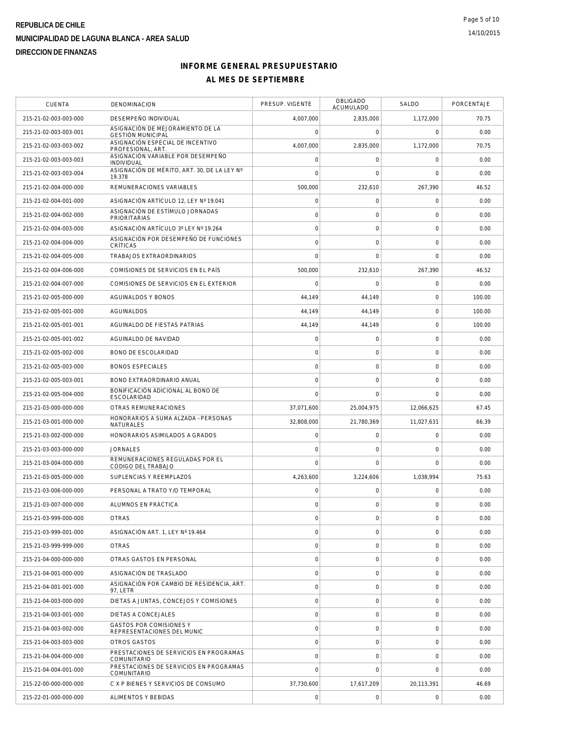| <b>CUENTA</b>         | DENOMINACION                                                 | PRESUP. VIGENTE     | <b>OBLIGADO</b><br><b>ACUMULADO</b> | SALDO          | PORCENTAJE |
|-----------------------|--------------------------------------------------------------|---------------------|-------------------------------------|----------------|------------|
| 215-21-02-003-003-000 | DESEMPEÑO INDIVIDUAL                                         | 4,007,000           | 2,835,000                           | 1,172,000      | 70.75      |
| 215-21-02-003-003-001 | ASIGNACIÓN DE MEJORAMIENTO DE LA<br><b>GESTIÓN MUNICIPAL</b> | $\mathbf 0$         | $\mathbf 0$                         | $\mathbf 0$    | 0.00       |
| 215-21-02-003-003-002 | ASIGNACIÓN ESPECIAL DE INCENTIVO<br>PROFESIONAL, ART.        | 4,007,000           | 2,835,000                           | 1,172,000      | 70.75      |
| 215-21-02-003-003-003 | ASIGNACIÓN VARIABLE POR DESEMPEÑO<br>INDIVIDUAL              | $\mathbf 0$         | $\mathbf 0$                         | $\mathbf 0$    | 0.00       |
| 215-21-02-003-003-004 | ASIGNACIÓN DE MÉRITO, ART. 30, DE LA LEY Nº<br>19.378        | $\bigcap$           | $\mathbf 0$                         | $\Omega$       | 0.00       |
| 215-21-02-004-000-000 | REMUNERACIONES VARIABLES                                     | 500,000             | 232,610                             | 267,390        | 46.52      |
| 215-21-02-004-001-000 | ASIGNACIÓN ARTÍCULO 12, LEY Nº 19.041                        | $\mathsf{O}\xspace$ | $\mathsf{O}\xspace$                 | $\mathbf 0$    | 0.00       |
| 215-21-02-004-002-000 | ASIGNACIÓN DE ESTÍMULO JORNADAS<br><b>PRIORITARIAS</b>       | $\circ$             | $\mathsf{O}\xspace$                 | $\mathbf 0$    | 0.00       |
| 215-21-02-004-003-000 | ASIGNACIÓN ARTÍCULO 3º LEY Nº 19.264                         | $\circ$             | $\mathbf 0$                         | $\mathbf 0$    | 0.00       |
| 215-21-02-004-004-000 | ASIGNACIÓN POR DESEMPEÑO DE FUNCIONES<br>CRÍTICAS            | $\mathbf 0$         | $\mathbf 0$                         | 0              | 0.00       |
| 215-21-02-004-005-000 | TRABAJOS EXTRAORDINARIOS                                     | $\overline{0}$      | $\mathbf 0$                         | $\mathbf 0$    | 0.00       |
| 215-21-02-004-006-000 | COMISIONES DE SERVICIOS EN EL PAÍS                           | 500,000             | 232,610                             | 267,390        | 46.52      |
| 215-21-02-004-007-000 | COMISIONES DE SERVICIOS EN EL EXTERIOR                       | $\mathbf 0$         | $\mathbf 0$                         | $\mathbf 0$    | 0.00       |
| 215-21-02-005-000-000 | <b>AGUINALDOS Y BONOS</b>                                    | 44,149              | 44,149                              | $\mathbf 0$    | 100.00     |
| 215-21-02-005-001-000 | AGUINALDOS                                                   | 44,149              | 44,149                              | $\mathbf 0$    | 100.00     |
| 215-21-02-005-001-001 | AGUINALDO DE FIESTAS PATRIAS                                 | 44,149              | 44,149                              | $\mathbf 0$    | 100.00     |
| 215-21-02-005-001-002 | AGUINALDO DE NAVIDAD                                         | $\mathbf 0$         | $\mathsf{O}\xspace$                 | $\mathbf 0$    | 0.00       |
| 215-21-02-005-002-000 | <b>BONO DE ESCOLARIDAD</b>                                   | $\circ$             | $\mathbf 0$                         | $\mathbf 0$    | 0.00       |
| 215-21-02-005-003-000 | <b>BONOS ESPECIALES</b>                                      | $\circ$             | $\mathbf 0$                         | $\mathbf 0$    | 0.00       |
| 215-21-02-005-003-001 | BONO EXTRAORDINARIO ANUAL                                    | $\overline{0}$      | $\mathbf 0$                         | $\mathbf 0$    | 0.00       |
| 215-21-02-005-004-000 | BONIFICACIÓN ADICIONAL AL BONO DE<br>ESCOLARIDAD             | $\mathbf 0$         | $\mathbf 0$                         | $\mathbf 0$    | 0.00       |
| 215-21-03-000-000-000 | OTRAS REMUNERACIONES                                         | 37,071,600          | 25,004,975                          | 12,066,625     | 67.45      |
| 215-21-03-001-000-000 | HONORARIOS A SUMA ALZADA - PERSONAS<br>NATURALES             | 32,808,000          | 21,780,369                          | 11,027,631     | 66.39      |
| 215-21-03-002-000-000 | HONORARIOS ASIMILADOS A GRADOS                               | $\circ$             | $\mathsf{O}\xspace$                 | $\mathbf 0$    | 0.00       |
| 215-21-03-003-000-000 | <b>JORNALES</b>                                              | $\mathbf 0$         | $\mathbf 0$                         | 0              | 0.00       |
| 215-21-03-004-000-000 | REMUNERACIONES REGULADAS POR EL<br>CÓDIGO DEL TRABAJO        | $\mathbf 0$         | $\Omega$                            | $\mathbf 0$    | 0.00       |
| 215-21-03-005-000-000 | SUPLENCIAS Y REEMPLAZOS                                      | 4,263,600           | 3,224,606                           | 1,038,994      | 75.63      |
| 215-21-03-006-000-000 | PERSONAL A TRATO Y/O TEMPORAL                                | $\mathbf 0$         | $\mathbf 0$                         | $\mathbf 0$    | 0.00       |
| 215-21-03-007-000-000 | ALUMNOS EN PRÁCTICA                                          | $\mathbf 0$         | $\mathbf 0$                         | $\mathbf 0$    | 0.00       |
| 215-21-03-999-000-000 | <b>OTRAS</b>                                                 | $\mathbf 0$         | $\mathsf{O}\xspace$                 | 0              | 0.00       |
| 215-21-03-999-001-000 | ASIGNACIÓN ART. 1, LEY Nº 19.464                             | $\mathbf 0$         | $\mathsf{O}\xspace$                 | 0              | 0.00       |
| 215-21-03-999-999-000 | <b>OTRAS</b>                                                 | $\mathbf 0$         | $\mathbf 0$                         | 0              | 0.00       |
| 215-21-04-000-000-000 | OTRAS GASTOS EN PERSONAL                                     | $\circ$             | $\mathbf 0$                         | $\mathbf 0$    | 0.00       |
| 215-21-04-001-000-000 | ASIGNACIÓN DE TRASLADO                                       | $\mathbf 0$         | $\mathbf 0$                         | $\mathbf 0$    | 0.00       |
| 215-21-04-001-001-000 | ASIGNACIÓN POR CAMBIO DE RESIDENCIA, ART.<br>97, LETR        | $\mathbf 0$         | $\mathbf 0$                         | $\overline{0}$ | 0.00       |
| 215-21-04-003-000-000 | DIETAS A JUNTAS, CONCEJOS Y COMISIONES                       | $\circ$             | $\mathsf{O}\xspace$                 | $\mathbf 0$    | 0.00       |
| 215-21-04-003-001-000 | DIETAS A CONCEJALES                                          | $\mathbf 0$         | $\mathbf 0$                         | 0              | 0.00       |
| 215-21-04-003-002-000 | GASTOS POR COMISIONES Y<br>REPRESENTACIONES DEL MUNIC        | $\circ$             | $\mathsf{O}\xspace$                 | $\mathbf 0$    | 0.00       |
| 215-21-04-003-003-000 | OTROS GASTOS                                                 | $\circ$             | $\mathsf{O}\xspace$                 | $\mathbf 0$    | 0.00       |
| 215-21-04-004-000-000 | PRESTACIONES DE SERVICIOS EN PROGRAMAS<br>COMUNITARIO        | $\mathbf 0$         | $\mathbf 0$                         | $\mathbf 0$    | 0.00       |
| 215-21-04-004-001-000 | PRESTACIONES DE SERVICIOS EN PROGRAMAS<br>COMUNITARIO        | $\mathbf 0$         | $\mathbf 0$                         | $\mathbf 0$    | 0.00       |
| 215-22-00-000-000-000 | C X P BIENES Y SERVICIOS DE CONSUMO                          | 37,730,600          | 17,617,209                          | 20,113,391     | 46.69      |
| 215-22-01-000-000-000 | ALIMENTOS Y BEBIDAS                                          | $\mathsf{O}\xspace$ | $\boldsymbol{0}$                    | 0              | 0.00       |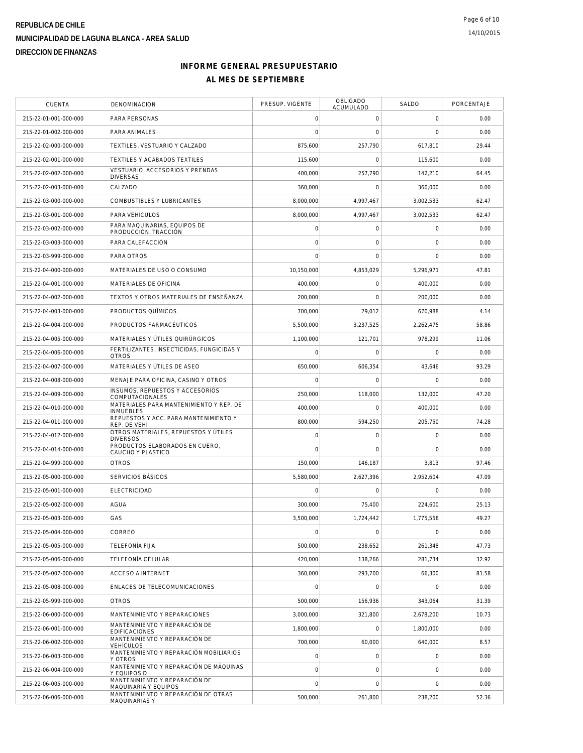| <b>CUENTA</b>         | DENOMINACION                                                | PRESUP. VIGENTE     | <b>OBLIGADO</b><br><b>ACUMULADO</b> | SALDO          | PORCENTAJE |
|-----------------------|-------------------------------------------------------------|---------------------|-------------------------------------|----------------|------------|
| 215-22-01-001-000-000 | PARA PERSONAS                                               | $\mathbf 0$         | $\mathbf 0$                         | 0              | 0.00       |
| 215-22-01-002-000-000 | PARA ANIMALES                                               | $\mathbf 0$         | $\mathbf 0$                         | $\overline{0}$ | 0.00       |
| 215-22-02-000-000-000 | TEXTILES, VESTUARIO Y CALZADO                               | 875,600             | 257,790                             | 617,810        | 29.44      |
| 215-22-02-001-000-000 | TEXTILES Y ACABADOS TEXTILES                                | 115,600             | $\Omega$                            | 115,600        | 0.00       |
| 215-22-02-002-000-000 | VESTUARIO, ACCESORIOS Y PRENDAS<br><b>DIVERSAS</b>          | 400,000             | 257,790                             | 142,210        | 64.45      |
| 215-22-02-003-000-000 | CALZADO                                                     | 360,000             | $\mathsf{O}\xspace$                 | 360,000        | 0.00       |
| 215-22-03-000-000-000 | COMBUSTIBLES Y LUBRICANTES                                  | 8,000,000           | 4,997,467                           | 3,002,533      | 62.47      |
| 215-22-03-001-000-000 | PARA VEHÍCULOS                                              | 8,000,000           | 4,997,467                           | 3,002,533      | 62.47      |
| 215-22-03-002-000-000 | PARA MAQUINARIAS, EQUIPOS DE<br>PRODUCCIÓN, TRACCIÓN        | $\mathbf 0$         | $\mathbf 0$                         | $\mathbf 0$    | 0.00       |
| 215-22-03-003-000-000 | PARA CALEFACCIÓN                                            | $\mathbf 0$         | $\mathbf 0$                         | $\mathbf 0$    | 0.00       |
| 215-22-03-999-000-000 | PARA OTROS                                                  | $\overline{0}$      | $\mathbf 0$                         | $\mathbf 0$    | 0.00       |
| 215-22-04-000-000-000 | MATERIALES DE USO O CONSUMO                                 | 10,150,000          | 4,853,029                           | 5,296,971      | 47.81      |
| 215-22-04-001-000-000 | MATERIALES DE OFICINA                                       | 400,000             | 0                                   | 400,000        | 0.00       |
| 215-22-04-002-000-000 | TEXTOS Y OTROS MATERIALES DE ENSEÑANZA                      | 200,000             | $\mathbf 0$                         | 200,000        | 0.00       |
| 215-22-04-003-000-000 | PRODUCTOS QUÍMICOS                                          | 700,000             | 29,012                              | 670,988        | 4.14       |
| 215-22-04-004-000-000 | PRODUCTOS FARMACÉUTICOS                                     | 5,500,000           | 3,237,525                           | 2,262,475      | 58.86      |
| 215-22-04-005-000-000 | MATERIALES Y ÚTILES QUIRÚRGICOS                             | 1,100,000           | 121,701                             | 978,299        | 11.06      |
| 215-22-04-006-000-000 | FERTILIZANTES, INSECTICIDAS, FUNGICIDAS Y<br><b>OTROS</b>   | $\mathbf 0$         | $\mathbf 0$                         | $\mathbf 0$    | 0.00       |
| 215-22-04-007-000-000 | MATERIALES Y ÚTILES DE ASEO                                 | 650,000             | 606,354                             | 43,646         | 93.29      |
| 215-22-04-008-000-000 | MENAJE PARA OFICINA, CASINO Y OTROS                         | $\mathbf 0$         | $\mathbf 0$                         | $\mathbf 0$    | 0.00       |
| 215-22-04-009-000-000 | INSUMOS, REPUESTOS Y ACCESORIOS<br>COMPUTACIONALES          | 250,000             | 118,000                             | 132,000        | 47.20      |
| 215-22-04-010-000-000 | MATERIALES PARA MANTENIMIENTO Y REP. DE<br><b>INMUEBLES</b> | 400,000             | $\mathbf 0$                         | 400,000        | 0.00       |
| 215-22-04-011-000-000 | REPUESTOS Y ACC. PARA MANTENIMIENTO Y<br>REP. DE VEHI       | 800,000             | 594,250                             | 205,750        | 74.28      |
| 215-22-04-012-000-000 | OTROS MATERIALES, REPUESTOS Y ÚTILES<br><b>DIVERSOS</b>     | $\mathbf 0$         | $\mathsf{O}\xspace$                 | $\mathbf 0$    | 0.00       |
| 215-22-04-014-000-000 | PRODUCTOS ELABORADOS EN CUERO,<br>CAUCHO Y PLASTICO         | $\mathbf 0$         | $\mathbf 0$                         | 0              | 0.00       |
| 215-22-04-999-000-000 | <b>OTROS</b>                                                | 150,000             | 146,187                             | 3,813          | 97.46      |
| 215-22-05-000-000-000 | SERVICIOS BÁSICOS                                           | 5,580,000           | 2,627,396                           | 2,952,604      | 47.09      |
| 215-22-05-001-000-000 | <b>ELECTRICIDAD</b>                                         | $\mathbf 0$         | $\mathbf 0$                         | $\mathbf 0$    | 0.00       |
| 215-22-05-002-000-000 | AGUA                                                        | 300,000             | 75,400                              | 224,600        | 25.13      |
| 215-22-05-003-000-000 | GAS                                                         | 3,500,000           | 1,724,442                           | 1,775,558      | 49.27      |
| 215-22-05-004-000-000 | CORREO                                                      | $\mathbf 0$         | $\mathsf{O}\xspace$                 | $\mathbf 0$    | 0.00       |
| 215-22-05-005-000-000 | <b>TELEFONÍA FIJA</b>                                       | 500,000             | 238,652                             | 261,348        | 47.73      |
| 215-22-05-006-000-000 | TELEFONÍA CELULAR                                           | 420,000             | 138,266                             | 281,734        | 32.92      |
| 215-22-05-007-000-000 | ACCESO A INTERNET                                           | 360,000             | 293,700                             | 66,300         | 81.58      |
| 215-22-05-008-000-000 | ENLACES DE TELECOMUNICACIONES                               | $\mathsf{O}\xspace$ | $\mathbf 0$                         | $\mathbf 0$    | 0.00       |
| 215-22-05-999-000-000 | <b>OTROS</b>                                                | 500,000             | 156,936                             | 343,064        | 31.39      |
| 215-22-06-000-000-000 | MANTENIMIENTO Y REPARACIONES                                | 3,000,000           | 321,800                             | 2,678,200      | 10.73      |
| 215-22-06-001-000-000 | MANTENIMIENTO Y REPARACIÓN DE<br><b>EDIFICACIONES</b>       | 1,800,000           | $\mathbf 0$                         | 1,800,000      | 0.00       |
| 215-22-06-002-000-000 | MANTENIMIENTO Y REPARACIÓN DE<br><b>VEHÍCULOS</b>           | 700,000             | 60,000                              | 640,000        | 8.57       |
| 215-22-06-003-000-000 | MANTENIMIENTO Y REPARACIÓN MOBILIARIOS<br>Y OTROS           | $\mathsf{O}\xspace$ | $\mathbf 0$                         | $\mathbf 0$    | 0.00       |
| 215-22-06-004-000-000 | MANTENIMIENTO Y REPARACIÓN DE MÁQUINAS<br>Y EQUIPOS D       | $\mathbf 0$         | $\mathbf 0$                         | $\mathbf 0$    | 0.00       |
| 215-22-06-005-000-000 | MANTENIMIENTO Y REPARACIÓN DE<br>MAQUINARIA Y EQUIPOS       | $\mathsf{O}\xspace$ | $\mathsf{O}\xspace$                 | $\mathbf 0$    | 0.00       |
| 215-22-06-006-000-000 | MANTENIMIENTO Y REPARACIÓN DE OTRAS<br>MAQUINARIAS Y        | 500,000             | 261,800                             | 238,200        | 52.36      |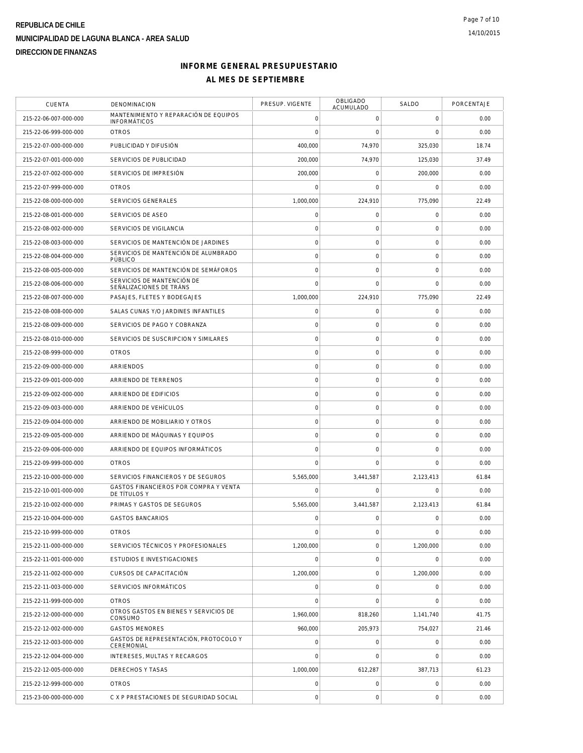| <b>CUENTA</b>         | DENOMINACION                                                 | PRESUP. VIGENTE | OBLIGADO<br>ACUMULADO | SALDO               | PORCENTAJE |
|-----------------------|--------------------------------------------------------------|-----------------|-----------------------|---------------------|------------|
| 215-22-06-007-000-000 | MANTENIMIENTO Y REPARACIÓN DE EQUIPOS<br><b>INFORMÁTICOS</b> | $\mathbf 0$     | $\mathbf 0$           | 0                   | 0.00       |
| 215-22-06-999-000-000 | <b>OTROS</b>                                                 | $\mathbf 0$     | $\mathbf 0$           | $\overline{0}$      | 0.00       |
| 215-22-07-000-000-000 | PUBLICIDAD Y DIFUSIÓN                                        | 400,000         | 74,970                | 325,030             | 18.74      |
| 215-22-07-001-000-000 | SERVICIOS DE PUBLICIDAD                                      | 200,000         | 74,970                | 125,030             | 37.49      |
| 215-22-07-002-000-000 | SERVICIOS DE IMPRESIÓN                                       | 200,000         | $\mathbf 0$           | 200,000             | 0.00       |
| 215-22-07-999-000-000 | <b>OTROS</b>                                                 | $\mathbf 0$     | $\mathbf 0$           | $\mathbf 0$         | 0.00       |
| 215-22-08-000-000-000 | SERVICIOS GENERALES                                          | 1,000,000       | 224,910               | 775,090             | 22.49      |
| 215-22-08-001-000-000 | SERVICIOS DE ASEO                                            | $\mathbf 0$     | $\mathsf O$           | $\mathbf 0$         | 0.00       |
| 215-22-08-002-000-000 | SERVICIOS DE VIGILANCIA                                      | $\mathbf 0$     | $\mathbf 0$           | $\mathbf 0$         | 0.00       |
| 215-22-08-003-000-000 | SERVICIOS DE MANTENCIÓN DE JARDINES                          | $\mathbf 0$     | $\mathsf{O}\xspace$   | $\mathbf 0$         | 0.00       |
| 215-22-08-004-000-000 | SERVICIOS DE MANTENCIÓN DE ALUMBRADO<br>PÚBLICO              | $\mathbf 0$     | $\mathbf 0$           | $\mathbf 0$         | 0.00       |
| 215-22-08-005-000-000 | SERVICIOS DE MANTENCIÓN DE SEMÁFOROS                         | $\circ$         | $\mathsf{O}\xspace$   | $\mathbf 0$         | 0.00       |
| 215-22-08-006-000-000 | SERVICIOS DE MANTENCIÓN DE<br>SEÑALIZACIONES DE TRÁNS        | $\mathbf 0$     | $\mathbf 0$           | 0                   | 0.00       |
| 215-22-08-007-000-000 | PASAJES, FLETES Y BODEGAJES                                  | 1.000.000       | 224,910               | 775,090             | 22.49      |
| 215-22-08-008-000-000 | SALAS CUNAS Y/O JARDINES INFANTILES                          | $\mathbf 0$     | $\mathsf O$           | $\mathbf 0$         | 0.00       |
| 215-22-08-009-000-000 | SERVICIOS DE PAGO Y COBRANZA                                 | $\mathbf 0$     | $\mathbf 0$           | $\mathbf 0$         | 0.00       |
| 215-22-08-010-000-000 | SERVICIOS DE SUSCRIPCION Y SIMILARES                         | $\circ$         | $\mathsf{O}\xspace$   | $\mathbf 0$         | 0.00       |
| 215-22-08-999-000-000 | <b>OTROS</b>                                                 | $\mathbf 0$     | $\mathsf O$           | $\mathbf 0$         | 0.00       |
| 215-22-09-000-000-000 | <b>ARRIENDOS</b>                                             | $\mathbf 0$     | $\mathsf{O}\xspace$   | $\mathbf 0$         | 0.00       |
| 215-22-09-001-000-000 | ARRIENDO DE TERRENOS                                         | $\circ$         | $\mathsf O$           | $\mathbf 0$         | 0.00       |
| 215-22-09-002-000-000 | ARRIENDO DE EDIFICIOS                                        | $\circ$         | $\mathsf{O}\xspace$   | $\mathbf 0$         | 0.00       |
| 215-22-09-003-000-000 | ARRIENDO DE VEHÍCULOS                                        | $\mathbf 0$     | $\mathsf{O}\xspace$   | $\mathbf 0$         | 0.00       |
| 215-22-09-004-000-000 | ARRIENDO DE MOBILIARIO Y OTROS                               | $\circ$         | $\mathbf 0$           | $\mathbf 0$         | 0.00       |
| 215-22-09-005-000-000 | ARRIENDO DE MÁQUINAS Y EQUIPOS                               | $\circ$         | $\mathsf O$           | $\mathbf 0$         | 0.00       |
| 215-22-09-006-000-000 | ARRIENDO DE EQUIPOS INFORMÁTICOS                             | $\mathbf 0$     | $\mathbf 0$           | 0                   | 0.00       |
| 215-22-09-999-000-000 | <b>OTROS</b>                                                 | $\Omega$        | $\mathbf 0$           | $\mathbf 0$         | 0.00       |
| 215-22-10-000-000-000 | SERVICIOS FINANCIEROS Y DE SEGUROS                           | 5,565,000       | 3,441,587             | 2,123,413           | 61.84      |
| 215-22-10-001-000-000 | GASTOS FINANCIEROS POR COMPRA Y VENTA<br>DE TÍTULOS Y        | $\mathbf 0$     | $\mathbf 0$           | 0                   | 0.00       |
| 215-22-10-002-000-000 | PRIMAS Y GASTOS DE SEGUROS                                   | 5,565,000       | 3,441,587             | 2,123,413           | 61.84      |
| 215-22-10-004-000-000 | <b>GASTOS BANCARIOS</b>                                      | $\mathbf 0$     | $\mathsf O$           | $\mathbf 0$         | 0.00       |
| 215-22-10-999-000-000 | <b>OTROS</b>                                                 | $\mathbf 0$     | $\mathsf O$           | 0                   | 0.00       |
| 215-22-11-000-000-000 | SERVICIOS TÉCNICOS Y PROFESIONALES                           | 1,200,000       | $\mathbf 0$           | 1,200,000           | 0.00       |
| 215-22-11-001-000-000 | <b>ESTUDIOS E INVESTIGACIONES</b>                            | $\mathbf 0$     | $\mathbf 0$           | $\mathbf 0$         | 0.00       |
| 215-22-11-002-000-000 | CURSOS DE CAPACITACIÓN                                       | 1,200,000       | $\mathbf 0$           | 1.200.000           | 0.00       |
| 215-22-11-003-000-000 | SERVICIOS INFORMÁTICOS                                       | $\mathbf 0$     | $\mathbf 0$           | $\mathbf 0$         | 0.00       |
| 215-22-11-999-000-000 | <b>OTROS</b>                                                 | $\mathbf 0$     | $\mathbf 0$           | $\mathbf 0$         | 0.00       |
| 215-22-12-000-000-000 | OTROS GASTOS EN BIENES Y SERVICIOS DE<br>CONSUMO             | 1,960,000       | 818,260               | 1,141,740           | 41.75      |
| 215-22-12-002-000-000 | <b>GASTOS MENORES</b>                                        | 960,000         | 205,973               | 754,027             | 21.46      |
| 215-22-12-003-000-000 | GASTOS DE REPRESENTACIÓN, PROTOCOLO Y<br>CEREMONIAL          | $\circ$         | $\mathsf O$           | $\mathbf 0$         | 0.00       |
| 215-22-12-004-000-000 | INTERESES, MULTAS Y RECARGOS                                 | $\mathbf 0$     | $\Omega$              | $\mathbf 0$         | 0.00       |
| 215-22-12-005-000-000 | DERECHOS Y TASAS                                             | 1,000,000       | 612,287               | 387,713             | 61.23      |
| 215-22-12-999-000-000 | <b>OTROS</b>                                                 | $\mathbf 0$     | $\mathsf O$           | $\mathbf 0$         | 0.00       |
| 215-23-00-000-000-000 | C X P PRESTACIONES DE SEGURIDAD SOCIAL                       | $\mathbf 0$     | $\mathsf{O}\xspace$   | $\mathsf{O}\xspace$ | 0.00       |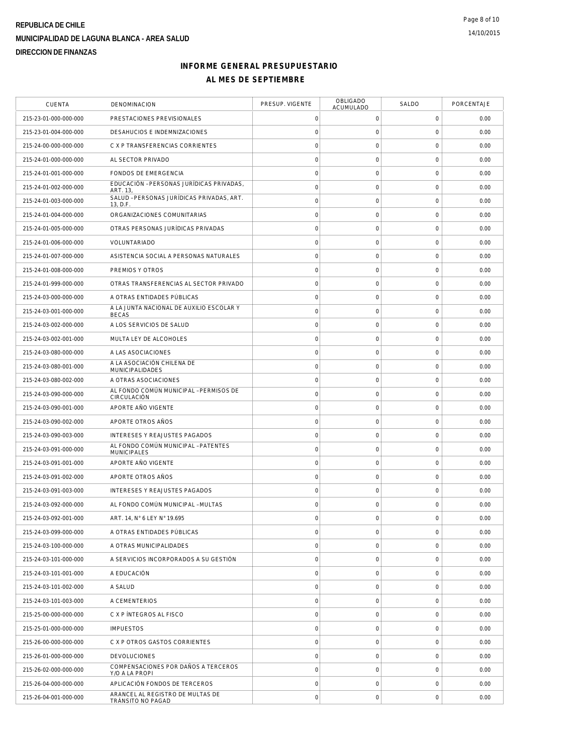| <b>CUENTA</b>         | DENOMINACION                                             | PRESUP. VIGENTE     | <b>OBLIGADO</b><br>ACUMULADO | SALDO               | PORCENTAJE |
|-----------------------|----------------------------------------------------------|---------------------|------------------------------|---------------------|------------|
| 215-23-01-000-000-000 | PRESTACIONES PREVISIONALES                               | $\mathsf O$         | $\mathbf 0$                  | 0                   | 0.00       |
| 215-23-01-004-000-000 | DESAHUCIOS E INDEMNIZACIONES                             | $\mathsf{O}\xspace$ | $\mathbf 0$                  | $\mathbf 0$         | 0.00       |
| 215-24-00-000-000-000 | C X P TRANSFERENCIAS CORRIENTES                          | $\mathsf{O}\xspace$ | $\mathsf{O}\xspace$          | $\mathbf 0$         | 0.00       |
| 215-24-01-000-000-000 | AL SECTOR PRIVADO                                        | $\mathsf{O}\xspace$ | $\mathbf 0$                  | $\mathbf 0$         | 0.00       |
| 215-24-01-001-000-000 | FONDOS DE EMERGENCIA                                     | $\mathsf{O}\xspace$ | $\mathbf 0$                  | $\mathbf 0$         | 0.00       |
| 215-24-01-002-000-000 | EDUCACIÓN - PERSONAS JURÍDICAS PRIVADAS,<br>ART. 13,     | $\mathsf O$         | $\mathsf{O}\xspace$          | $\mathbf 0$         | 0.00       |
| 215-24-01-003-000-000 | SALUD - PERSONAS JURÍDICAS PRIVADAS, ART.<br>13, D.F.    | $\mathsf{O}\xspace$ | $\mathsf{O}\xspace$          | $\mathsf{O}\xspace$ | 0.00       |
| 215-24-01-004-000-000 | ORGANIZACIONES COMUNITARIAS                              | $\mathsf{O}\xspace$ | $\mathsf{O}\xspace$          | $\mathbf 0$         | 0.00       |
| 215-24-01-005-000-000 | OTRAS PERSONAS JURÍDICAS PRIVADAS                        | $\mathsf{O}\xspace$ | $\mathsf{O}\xspace$          | $\mathbf 0$         | 0.00       |
| 215-24-01-006-000-000 | VOLUNTARIADO                                             | $\mathbf 0$         | $\mathsf{O}\xspace$          | $\mathbf 0$         | 0.00       |
| 215-24-01-007-000-000 | ASISTENCIA SOCIAL A PERSONAS NATURALES                   | $\mathsf{O}\xspace$ | $\mathbf 0$                  | $\mathbf 0$         | 0.00       |
| 215-24-01-008-000-000 | PREMIOS Y OTROS                                          | $\mathsf{O}\xspace$ | $\mathsf{O}\xspace$          | $\mathbf 0$         | 0.00       |
| 215-24-01-999-000-000 | OTRAS TRANSFERENCIAS AL SECTOR PRIVADO                   | $\mathsf O$         | 0                            | $\mathbf 0$         | 0.00       |
| 215-24-03-000-000-000 | A OTRAS ENTIDADES PÚBLICAS                               | $\mathsf{O}\xspace$ | $\mathbf 0$                  | $\mathbf 0$         | 0.00       |
| 215-24-03-001-000-000 | A LA JUNTA NACIONAL DE AUXILIO ESCOLAR Y<br><b>BECAS</b> | $\mathsf{O}\xspace$ | $\mathsf{O}\xspace$          | $\mathbf 0$         | 0.00       |
| 215-24-03-002-000-000 | A LOS SERVICIOS DE SALUD                                 | $\mathsf{O}\xspace$ | $\mathsf{O}\xspace$          | $\mathbf 0$         | 0.00       |
| 215-24-03-002-001-000 | MULTA LEY DE ALCOHOLES                                   | $\mathsf{O}\xspace$ | $\mathsf{O}\xspace$          | $\mathbf 0$         | 0.00       |
| 215-24-03-080-000-000 | A LAS ASOCIACIONES                                       | $\mathsf{O}\xspace$ | $\mathsf{O}\xspace$          | $\mathbf 0$         | 0.00       |
| 215-24-03-080-001-000 | A LA ASOCIACIÓN CHILENA DE<br>MUNICIPALIDADES            | $\mathsf{O}\xspace$ | $\mathsf{O}\xspace$          | $\mathbf 0$         | 0.00       |
| 215-24-03-080-002-000 | A OTRAS ASOCIACIONES                                     | $\mathsf{O}\xspace$ | $\mathsf{O}\xspace$          | $\mathbf 0$         | 0.00       |
| 215-24-03-090-000-000 | AL FONDO COMÚN MUNICIPAL - PERMISOS DE<br>CIRCULACIÓN    | $\mathsf{O}\xspace$ | $\mathsf{O}\xspace$          | $\mathbf 0$         | 0.00       |
| 215-24-03-090-001-000 | APORTE AÑO VIGENTE                                       | $\mathsf{O}\xspace$ | $\mathsf{O}\xspace$          | $\mathbf 0$         | 0.00       |
| 215-24-03-090-002-000 | APORTE OTROS AÑOS                                        | $\mathsf{O}\xspace$ | $\mathbf 0$                  | $\mathbf 0$         | 0.00       |
| 215-24-03-090-003-000 | INTERESES Y REAJUSTES PAGADOS                            | $\mathsf{O}\xspace$ | $\mathsf{O}\xspace$          | $\mathsf{O}\xspace$ | 0.00       |
| 215-24-03-091-000-000 | AL FONDO COMÚN MUNICIPAL - PATENTES<br>MUNICIPALES       | $\mathsf O$         | 0                            | $\mathsf{O}\xspace$ | 0.00       |
| 215-24-03-091-001-000 | APORTE AÑO VIGENTE                                       | $\mathsf{O}\xspace$ | $\mathsf{O}\xspace$          | $\mathbf 0$         | 0.00       |
| 215-24-03-091-002-000 | APORTE OTROS AÑOS                                        | $\mathsf{O}\xspace$ | $\mathsf{O}\xspace$          | $\mathbf 0$         | 0.00       |
| 215-24-03-091-003-000 | INTERESES Y REAJUSTES PAGADOS                            | $\mathsf O$         | $\mathbf 0$                  | $\mathbf 0$         | 0.00       |
| 215-24-03-092-000-000 | AL FONDO COMÚN MUNICIPAL - MULTAS                        | $\mathbf 0$         | $\mathbf 0$                  | $\mathbf 0$         | 0.00       |
| 215-24-03-092-001-000 | ART. 14, N° 6 LEY N° 19.695                              | $\mathsf O$         | $\mathsf{O}\xspace$          | $\mathbf 0$         | 0.00       |
| 215-24-03-099-000-000 | A OTRAS ENTIDADES PÚBLICAS                               | $\mathsf O$         | $\mathsf{O}\xspace$          | $\mathsf{O}\xspace$ | 0.00       |
| 215-24-03-100-000-000 | A OTRAS MUNICIPALIDADES                                  | $\mathsf O$         | $\mathbf 0$                  | $\mathbf 0$         | 0.00       |
| 215-24-03-101-000-000 | A SERVICIOS INCORPORADOS A SU GESTIÓN                    | $\mathsf{O}\xspace$ | $\mathsf{O}\xspace$          | $\mathbf 0$         | 0.00       |
| 215-24-03-101-001-000 | A EDUCACIÓN                                              | $\mathbf 0$         | $\mathsf{O}\xspace$          | $\mathbf 0$         | 0.00       |
| 215-24-03-101-002-000 | A SALUD                                                  | $\mathsf{O}\xspace$ | $\mathbf 0$                  | $\mathbf 0$         | 0.00       |
| 215-24-03-101-003-000 | A CEMENTERIOS                                            | $\mathsf{O}\xspace$ | $\mathsf{O}\xspace$          | $\mathbf 0$         | 0.00       |
| 215-25-00-000-000-000 | C X P INTEGROS AL FISCO                                  | $\mathsf O$         | 0                            | $\mathsf{O}\xspace$ | 0.00       |
| 215-25-01-000-000-000 | <b>IMPUESTOS</b>                                         | $\mathsf{O}\xspace$ | $\mathsf{O}\xspace$          | $\mathbf 0$         | 0.00       |
| 215-26-00-000-000-000 | C X P OTROS GASTOS CORRIENTES                            | $\mathsf{O}\xspace$ | $\mathsf{O}\xspace$          | $\mathbf 0$         | 0.00       |
| 215-26-01-000-000-000 | <b>DEVOLUCIONES</b>                                      | $\mathsf O$         | $\mathbf 0$                  | $\mathbf 0$         | 0.00       |
| 215-26-02-000-000-000 | COMPENSACIONES POR DAÑOS A TERCEROS<br>Y/O A LA PROPI    | $\mathbf 0$         | $\mathbf 0$                  | $\mathbf 0$         | 0.00       |
| 215-26-04-000-000-000 | APLICACIÓN FONDOS DE TERCEROS                            | $\mathsf O$         | $\mathsf O$                  | $\mathsf{O}\xspace$ | 0.00       |
| 215-26-04-001-000-000 | ARANCEL AL REGISTRO DE MULTAS DE<br>TRÁNSITO NO PAGAD    | $\mathsf{O}\xspace$ | $\mathsf{O}\xspace$          | $\mathsf{O}\xspace$ | 0.00       |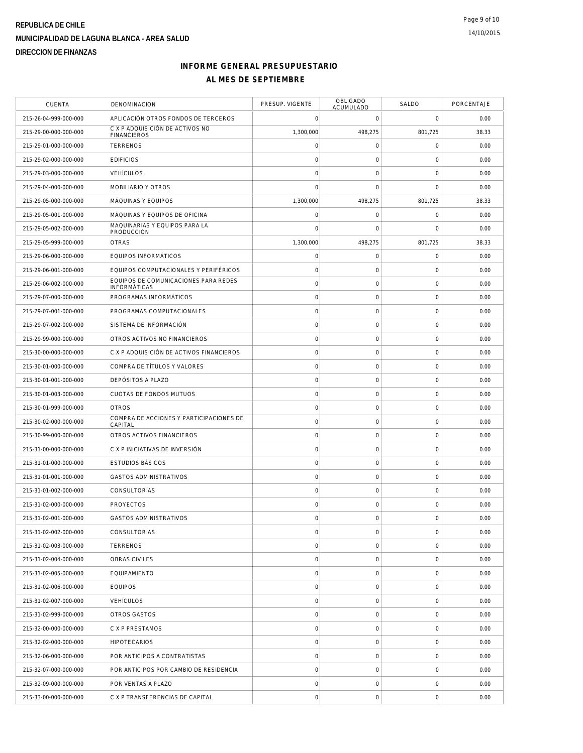| <b>CUENTA</b>         | DENOMINACION                                                | PRESUP. VIGENTE     | OBLIGADO<br>ACUMULADO | SALDO               | PORCENTAJE |
|-----------------------|-------------------------------------------------------------|---------------------|-----------------------|---------------------|------------|
| 215-26-04-999-000-000 | APLICACIÓN OTROS FONDOS DE TERCEROS                         | $\mathbf 0$         | $\mathbf 0$           | $\mathbf 0$         | 0.00       |
| 215-29-00-000-000-000 | C X P ADQUISICIÓN DE ACTIVOS NO<br><b>FINANCIEROS</b>       | 1,300,000           | 498,275               | 801,725             | 38.33      |
| 215-29-01-000-000-000 | <b>TERRENOS</b>                                             | $\mathbf 0$         | $\boldsymbol{0}$      | 0                   | 0.00       |
| 215-29-02-000-000-000 | <b>EDIFICIOS</b>                                            | $\mathbf 0$         | $\mathsf{O}\xspace$   | $\mathbf 0$         | 0.00       |
| 215-29-03-000-000-000 | <b>VEHÍCULOS</b>                                            | $\mathbf 0$         | $\mathsf{O}\xspace$   | $\mathbf 0$         | 0.00       |
| 215-29-04-000-000-000 | MOBILIARIO Y OTROS                                          | $\mathbf 0$         | $\mathbf 0$           | $\mathbf 0$         | 0.00       |
| 215-29-05-000-000-000 | MÁQUINAS Y EQUIPOS                                          | 1,300,000           | 498,275               | 801,725             | 38.33      |
| 215-29-05-001-000-000 | MÁQUINAS Y EQUIPOS DE OFICINA                               | $\mathbf 0$         | $\mathsf{O}\xspace$   | $\mathbf 0$         | 0.00       |
| 215-29-05-002-000-000 | MAQUINARIAS Y EQUIPOS PARA LA<br>PRODUCCIÓN                 | $\Omega$            | $\mathbf 0$           | 0                   | 0.00       |
| 215-29-05-999-000-000 | <b>OTRAS</b>                                                | 1,300,000           | 498,275               | 801,725             | 38.33      |
| 215-29-06-000-000-000 | EQUIPOS INFORMÁTICOS                                        | $\mathsf{O}\xspace$ | $\mathsf{O}\xspace$   | $\mathbf 0$         | 0.00       |
| 215-29-06-001-000-000 | EQUIPOS COMPUTACIONALES Y PERIFÉRICOS                       | $\mathbf 0$         | $\mathsf{O}\xspace$   | $\mathbf 0$         | 0.00       |
| 215-29-06-002-000-000 | EQUIPOS DE COMUNICACIONES PARA REDES<br><b>INFORMÁTICAS</b> | $\mathbf 0$         | $\mathsf{O}\xspace$   | $\mathbf 0$         | 0.00       |
| 215-29-07-000-000-000 | PROGRAMAS INFORMÁTICOS                                      | $\circ$             | $\mathsf{O}\xspace$   | $\mathbf 0$         | 0.00       |
| 215-29-07-001-000-000 | PROGRAMAS COMPUTACIONALES                                   | $\mathbf 0$         | $\mathsf{O}\xspace$   | 0                   | 0.00       |
| 215-29-07-002-000-000 | SISTEMA DE INFORMACIÓN                                      | $\mathbf 0$         | $\mathsf{O}\xspace$   | $\mathbf 0$         | 0.00       |
| 215-29-99-000-000-000 | OTROS ACTIVOS NO FINANCIEROS                                | $\circ$             | $\mathsf{O}\xspace$   | $\mathbf 0$         | 0.00       |
| 215-30-00-000-000-000 | C X P ADQUISICIÓN DE ACTIVOS FINANCIEROS                    | $\mathbf 0$         | $\mathsf{O}\xspace$   | $\mathsf{O}\xspace$ | 0.00       |
| 215-30-01-000-000-000 | COMPRA DE TÍTULOS Y VALORES                                 | $\circ$             | $\mathsf{O}\xspace$   | $\mathbf 0$         | 0.00       |
| 215-30-01-001-000-000 | DEPÓSITOS A PLAZO                                           | $\mathbf 0$         | $\mathbf 0$           | $\mathbf 0$         | 0.00       |
| 215-30-01-003-000-000 | <b>CUOTAS DE FONDOS MUTUOS</b>                              | $\mathbf 0$         | $\mathsf{O}\xspace$   | $\mathbf 0$         | 0.00       |
| 215-30-01-999-000-000 | <b>OTROS</b>                                                | $\circ$             | $\mathsf{O}\xspace$   | $\mathbf 0$         | 0.00       |
| 215-30-02-000-000-000 | COMPRA DE ACCIONES Y PARTICIPACIONES DE<br>CAPITAL          | $\circ$             | $\mathsf{O}\xspace$   | $\mathbf 0$         | 0.00       |
| 215-30-99-000-000-000 | OTROS ACTIVOS FINANCIEROS                                   | $\mathbf 0$         | $\mathsf{O}\xspace$   | $\mathbf 0$         | 0.00       |
| 215-31-00-000-000-000 | C X P INICIATIVAS DE INVERSIÓN                              | $\mathbf 0$         | $\mathsf{O}\xspace$   | $\mathbf 0$         | 0.00       |
| 215-31-01-000-000-000 | <b>ESTUDIOS BÁSICOS</b>                                     | $\mathbf 0$         | $\mathsf O$           | $\mathbf 0$         | 0.00       |
| 215-31-01-001-000-000 | <b>GASTOS ADMINISTRATIVOS</b>                               | $\mathbf 0$         | $\mathsf O$           | $\mathbf 0$         | 0.00       |
| 215-31-01-002-000-000 | CONSULTORÍAS                                                | $\circ$             | $\mathsf{O}\xspace$   | $\mathbf 0$         | 0.00       |
| 215-31-02-000-000-000 | <b>PROYECTOS</b>                                            | $\mathbf 0$         | $\mathsf O$           | $\mathbf 0$         | 0.00       |
| 215-31-02-001-000-000 | <b>GASTOS ADMINISTRATIVOS</b>                               | $\mathbf 0$         | $\mathbf 0$           | $\mathbf 0$         | 0.00       |
| 215-31-02-002-000-000 | CONSULTORÍAS                                                | $\mathbf 0$         | $\mathsf O$           | $\mathbf 0$         | 0.00       |
| 215-31-02-003-000-000 | <b>TERRENOS</b>                                             | $\mathbf 0$         | $\mathsf O$           | $\mathbf 0$         | 0.00       |
| 215-31-02-004-000-000 | OBRAS CIVILES                                               | $\mathbf 0$         | $\boldsymbol{0}$      | $\mathsf{O}\xspace$ | 0.00       |
| 215-31-02-005-000-000 | <b>EQUIPAMIENTO</b>                                         | $\mathsf{O}\xspace$ | $\mathsf O$           | $\mathsf{O}\xspace$ | 0.00       |
| 215-31-02-006-000-000 | <b>EQUIPOS</b>                                              | $\mathbf 0$         | $\mathsf O$           | $\mathbf 0$         | 0.00       |
| 215-31-02-007-000-000 | <b>VEHÍCULOS</b>                                            | $\circ$             | $\mathsf O$           | $\mathbf 0$         | 0.00       |
| 215-31-02-999-000-000 | OTROS GASTOS                                                | $\mathbf 0$         | $\mathsf{O}\xspace$   | $\mathbf 0$         | 0.00       |
| 215-32-00-000-000-000 | C X P PRÉSTAMOS                                             | $\mathbf 0$         | $\mathsf O$           | $\mathbf 0$         | 0.00       |
| 215-32-02-000-000-000 | <b>HIPOTECARIOS</b>                                         | $\mathbf 0$         | 0                     | $\mathsf{O}\xspace$ | 0.00       |
| 215-32-06-000-000-000 | POR ANTICIPOS A CONTRATISTAS                                | $\mathbf 0$         | $\mathsf{O}\xspace$   | $\mathbf 0$         | 0.00       |
| 215-32-07-000-000-000 | POR ANTICIPOS POR CAMBIO DE RESIDENCIA                      | $\mathbf 0$         | $\mathsf O$           | $\mathsf{O}\xspace$ | 0.00       |
| 215-32-09-000-000-000 | POR VENTAS A PLAZO                                          | $\mathbf 0$         | $\mathsf O$           | $\mathbf 0$         | 0.00       |
| 215-33-00-000-000-000 | C X P TRANSFERENCIAS DE CAPITAL                             | $\circ$             | $\mathsf{O}\xspace$   | $\mathbf 0$         | 0.00       |